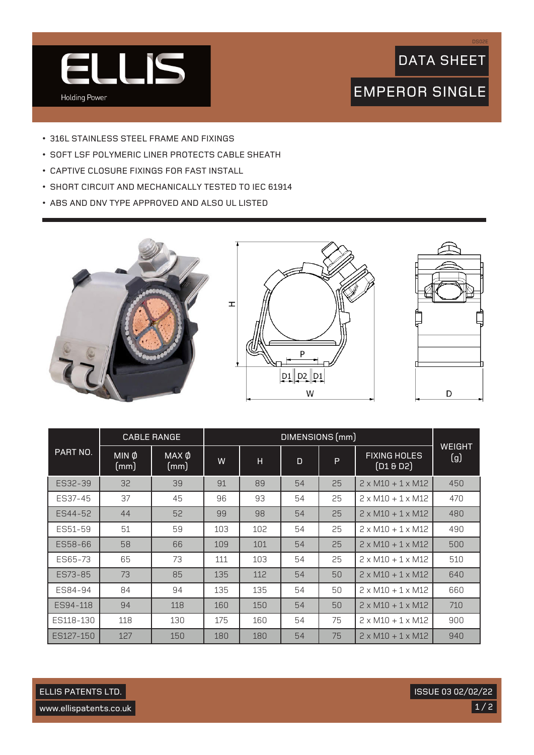

## DATA SHEET

DS02E

## EMPEROR SINGLE

- 316L STAINLESS STEEL FRAME AND FIXINGS
- SOFT LSF POLYMERIC LINER PROTECTS CABLE SHEATH
- CAPTIVE CLOSURE FIXINGS FOR FAST INSTALL
- SHORT CIRCUIT AND MECHANICALLY TESTED TO IEC 61914
- ABS AND DNV TYPE APPROVED AND ALSO UL LISTED







|           | <b>CABLE RANGE</b>   |                      | DIMENSIONS (mm) |     |    |    |                                |                      |
|-----------|----------------------|----------------------|-----------------|-----|----|----|--------------------------------|----------------------|
| PART NO.  | $MIN$ $\phi$<br>(mm) | $MAX$ $\phi$<br>(mm) | W               | н   | D  | P  | <b>FIXING HOLES</b><br>(D18D2) | <b>WEIGHT</b><br>(g) |
| ES32-39   | 32                   | 39                   | 91              | 89  | 54 | 25 | $2 \times M10 + 1 \times M12$  | 450                  |
| ES37-45   | 37                   | 45                   | 96              | 93  | 54 | 25 | $2 \times M10 + 1 \times M12$  | 470                  |
| ES44-52   | 44                   | 52                   | 99              | 98  | 54 | 25 | $2 \times M10 + 1 \times M12$  | 480                  |
| ES51-59   | 51                   | 59                   | 103             | 102 | 54 | 25 | $2 \times M10 + 1 \times M12$  | 490                  |
| ES58-66   | 58                   | 66                   | 109             | 101 | 54 | 25 | $2 \times M10 + 1 \times M12$  | 500                  |
| ES65-73   | 65                   | 73                   | 111             | 103 | 54 | 25 | $2 \times M10 + 1 \times M12$  | 510                  |
| ES73-85   | 73                   | 85                   | 135             | 112 | 54 | 50 | $2 \times M10 + 1 \times M12$  | 640                  |
| ES84-94   | 84                   | 94                   | 135             | 135 | 54 | 50 | $2 \times M10 + 1 \times M12$  | 660                  |
| ES94-118  | 94                   | 118                  | 160             | 150 | 54 | 50 | $2 \times M10 + 1 \times M12$  | 710                  |
| ES118-130 | 118                  | 130                  | 175             | 160 | 54 | 75 | $2 \times M10 + 1 \times M12$  | 900                  |
| ES127-150 | 127                  | 150                  | 180             | 180 | 54 | 75 | $2 \times M10 + 1 \times M12$  | 940                  |